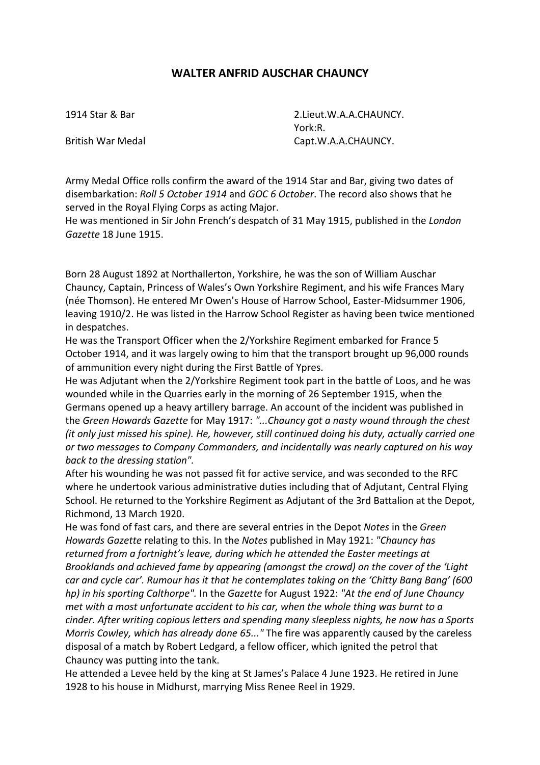## **WALTER ANFRID AUSCHAR CHAUNCY**

1914 Star & Bar 2.Lieut.W.A.A.CHAUNCY. York:R. British War Medal Capt.W.A.A.CHAUNCY.

Army Medal Office rolls confirm the award of the 1914 Star and Bar, giving two dates of disembarkation: *Roll 5 October 1914* and *GOC 6 October*. The record also shows that he served in the Royal Flying Corps as acting Major.

He was mentioned in Sir John French's despatch of 31 May 1915, published in the *London Gazette* 18 June 1915.

Born 28 August 1892 at Northallerton, Yorkshire, he was the son of William Auschar Chauncy, Captain, Princess of Wales's Own Yorkshire Regiment, and his wife Frances Mary (née Thomson). He entered Mr Owen's House of Harrow School, Easter-Midsummer 1906, leaving 1910/2. He was listed in the Harrow School Register as having been twice mentioned in despatches.

He was the Transport Officer when the 2/Yorkshire Regiment embarked for France 5 October 1914, and it was largely owing to him that the transport brought up 96,000 rounds of ammunition every night during the First Battle of Ypres.

He was Adjutant when the 2/Yorkshire Regiment took part in the battle of Loos, and he was wounded while in the Quarries early in the morning of 26 September 1915, when the Germans opened up a heavy artillery barrage. An account of the incident was published in the *Green Howards Gazette* for May 1917: *"...Chauncy got a nasty wound through the chest (it only just missed his spine). He, however, still continued doing his duty, actually carried one or two messages to Company Commanders, and incidentally was nearly captured on his way back to the dressing station".*

After his wounding he was not passed fit for active service, and was seconded to the RFC where he undertook various administrative duties including that of Adjutant, Central Flying School. He returned to the Yorkshire Regiment as Adjutant of the 3rd Battalion at the Depot, Richmond, 13 March 1920.

He was fond of fast cars, and there are several entries in the Depot *Notes* in the *Green Howards Gazette* relating to this. In the *Notes* published in May 1921: *"Chauncy has returned from a fortnight's leave, during which he attended the Easter meetings at Brooklands and achieved fame by appearing (amongst the crowd) on the cover of the 'Light car and cycle car'. Rumour has it that he contemplates taking on the 'Chitty Bang Bang' (600 hp) in his sporting Calthorpe".* In the *Gazette* for August 1922: *"At the end of June Chauncy met with a most unfortunate accident to his car, when the whole thing was burnt to a cinder. After writing copious letters and spending many sleepless nights, he now has a Sports Morris Cowley, which has already done 65..."* The fire was apparently caused by the careless disposal of a match by Robert Ledgard, a fellow officer, which ignited the petrol that Chauncy was putting into the tank.

He attended a Levee held by the king at St James's Palace 4 June 1923. He retired in June 1928 to his house in Midhurst, marrying Miss Renee Reel in 1929.